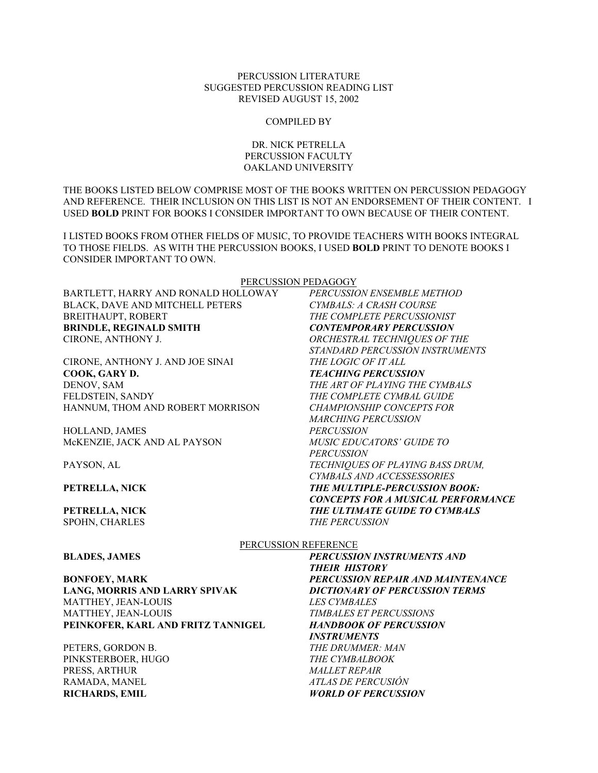## PERCUSSION LITERATURE SUGGESTED PERCUSSION READING LIST REVISED AUGUST 15, 2002

#### COMPILED BY

# DR. NICK PETRELLA PERCUSSION FACULTY OAKLAND UNIVERSITY

THE BOOKS LISTED BELOW COMPRISE MOST OF THE BOOKS WRITTEN ON PERCUSSION PEDAGOGY AND REFERENCE. THEIR INCLUSION ON THIS LIST IS NOT AN ENDORSEMENT OF THEIR CONTENT. I USED **BOLD** PRINT FOR BOOKS I CONSIDER IMPORTANT TO OWN BECAUSE OF THEIR CONTENT.

I LISTED BOOKS FROM OTHER FIELDS OF MUSIC, TO PROVIDE TEACHERS WITH BOOKS INTEGRAL TO THOSE FIELDS. AS WITH THE PERCUSSION BOOKS, I USED **BOLD** PRINT TO DENOTE BOOKS I CONSIDER IMPORTANT TO OWN.

PERCUSSION PEDAGOGY

BARTLETT, HARRY AND RONALD HOLLOWAY *PERCUSSION ENSEMBLE METHOD* BLACK, DAVE AND MITCHELL PETERS *CYMBALS: A CRASH COURSE* BREITHAUPT, ROBERT *THE COMPLETE PERCUSSIONIST* **BRINDLE, REGINALD SMITH** *CONTEMPORARY PERCUSSION* CIRONE, ANTHONY J. *ORCHESTRAL TECHNIQUES OF THE* 

CIRONE, ANTHONY J. AND JOE SINAI *THE LOGIC OF IT ALL* **COOK, GARY D.** *TEACHING PERCUSSION* DENOV, SAM *THE ART OF PLAYING THE CYMBALS* FELDSTEIN, SANDY *THE COMPLETE CYMBAL GUIDE* HANNUM, THOM AND ROBERT MORRISON *CHAMPIONSHIP CONCEPTS FOR* 

HOLLAND, JAMES *PERCUSSION* McKENZIE, JACK AND AL PAYSON *MUSIC EDUCATORS' GUIDE TO* 

PAYSON, AL *TECHNIQUES OF PLAYING BASS DRUM,* 

**PETRELLA, NICK** *THE MULTIPLE-PERCUSSION BOOK:* 

**PETRELLA, NICK** *THE ULTIMATE GUIDE TO CYMBALS*  SPOHN, CHARLES *THE PERCUSSION*

PERCUSSION REFERENCE

**LANG, MORRIS AND LARRY SPIVAK** *DICTIONARY OF PERCUSSION TERMS* MATTHEY, JEAN-LOUIS *LES CYMBALES* MATTHEY, JEAN-LOUIS *TIMBALES ET PERCUSSIONS* **PEINKOFER, KARL AND FRITZ TANNIGEL** *HANDBOOK OF PERCUSSION* 

PETERS, GORDON B. *THE DRUMMER: MAN* PINKSTERBOER, HUGO *THE CYMBALBOOK* PRESS, ARTHUR *MALLET REPAIR*  RAMADA, MANEL *ATLAS DE PERCUSIÓN* **RICHARDS, EMIL** *WORLD OF PERCUSSION*

**BLADES, JAMES** *PERCUSSION INSTRUMENTS AND THEIR HISTORY* **BONFOEY, MARK** *PERCUSSION REPAIR AND MAINTENANCE INSTRUMENTS*

*CONCEPTS FOR A MUSICAL PERFORMANCE*

 *STANDARD PERCUSSION INSTRUMENTS* 

 *MARCHING PERCUSSION*

 *CYMBALS AND ACCESSESSORIES*

 *PERCUSSION*